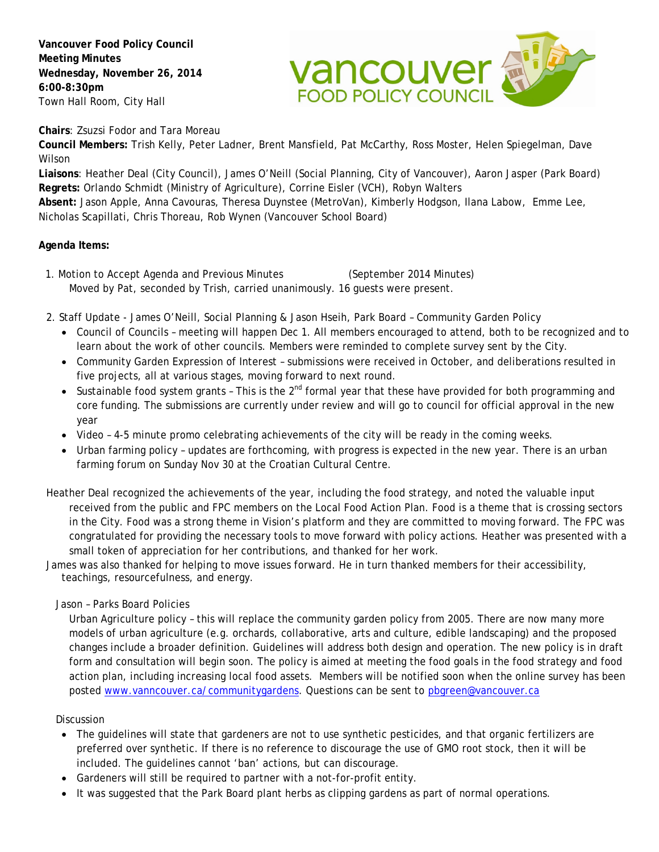**Vancouver Food Policy Council Meeting Minutes Wednesday, November 26, 2014 6:00-8:30pm** Town Hall Room, City Hall



**Chairs**: Zsuzsi Fodor and Tara Moreau

**Council Members:** Trish Kelly, Peter Ladner, Brent Mansfield, Pat McCarthy, Ross Moster, Helen Spiegelman, Dave Wilson

**Liaisons**: Heather Deal (City Council), James O'Neill (Social Planning, City of Vancouver), Aaron Jasper (Park Board) **Regrets:** Orlando Schmidt (Ministry of Agriculture), Corrine Eisler (VCH), Robyn Walters

**Absent:** Jason Apple, Anna Cavouras, Theresa Duynstee (MetroVan), Kimberly Hodgson, Ilana Labow, Emme Lee, Nicholas Scapillati, Chris Thoreau, Rob Wynen (Vancouver School Board)

## **Agenda Items:**

- 1. Motion to Accept Agenda and Previous Minutes (September 2014 Minutes) Moved by Pat, seconded by Trish, carried unanimously. 16 guests were present.
- 2. Staff Update James O'Neill, Social Planning & Jason Hseih, Park Board Community Garden Policy
	- Council of Councils meeting will happen Dec 1. All members encouraged to attend, both to be recognized and to learn about the work of other councils. Members were reminded to complete survey sent by the City.
	- Community Garden Expression of Interest submissions were received in October, and deliberations resulted in five projects, all at various stages, moving forward to next round.
	- Sustainable food system grants This is the  $2^{nd}$  formal year that these have provided for both programming and core funding. The submissions are currently under review and will go to council for official approval in the new year
	- Video 4-5 minute promo celebrating achievements of the city will be ready in the coming weeks.
	- Urban farming policy updates are forthcoming, with progress is expected in the new year. There is an urban farming forum on Sunday Nov 30 at the Croatian Cultural Centre.
- Heather Deal recognized the achievements of the year, including the food strategy, and noted the valuable input received from the public and FPC members on the Local Food Action Plan. Food is a theme that is crossing sectors in the City. Food was a strong theme in Vision's platform and they are committed to moving forward. The FPC was congratulated for providing the necessary tools to move forward with policy actions. Heather was presented with a small token of appreciation for her contributions, and thanked for her work.
- James was also thanked for helping to move issues forward. He in turn thanked members for their accessibility, teachings, resourcefulness, and energy.

## Jason – Parks Board Policies

Urban Agriculture policy – this will replace the community garden policy from 2005. There are now many more models of urban agriculture (e.g. orchards, collaborative, arts and culture, edible landscaping) and the proposed changes include a broader definition. Guidelines will address both design and operation. The new policy is in draft form and consultation will begin soon. The policy is aimed at meeting the food goals in the food strategy and food action plan, including increasing local food assets. Members will be notified soon when the online survey has been posted [www.vanncouver.ca/communitygardens.](http://www.vanncouver.ca/communitygardens) Questions can be sent to pbgreen@vancouver.ca

## Discussion

- The guidelines will state that gardeners are not to use synthetic pesticides, and that organic fertilizers are preferred over synthetic. If there is no reference to discourage the use of GMO root stock, then it will be included. The guidelines cannot 'ban' actions, but can discourage.
- Gardeners will still be required to partner with a not-for-profit entity.
- It was suggested that the Park Board plant herbs as clipping gardens as part of normal operations.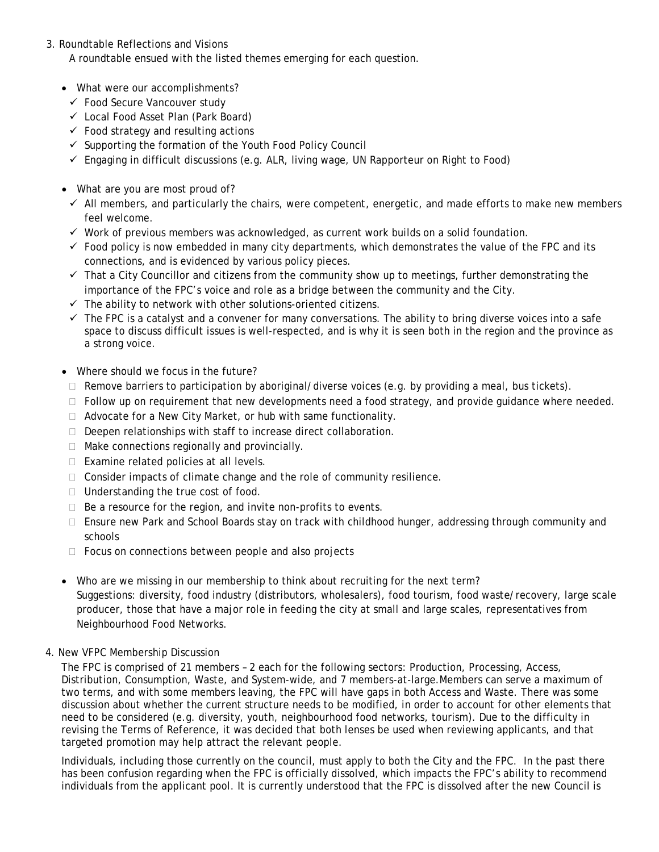## 3. Roundtable Reflections and Visions A roundtable ensued with the listed themes emerging for each question.

- What were our accomplishments?
	- Food Secure Vancouver study
	- Local Food Asset Plan (Park Board)
	- $\checkmark$  Food strategy and resulting actions
	- $\checkmark$  Supporting the formation of the Youth Food Policy Council
	- $\checkmark$  Engaging in difficult discussions (e.g. ALR, living wage, UN Rapporteur on Right to Food)
- What are you are most proud of?
	- $\checkmark$  All members, and particularly the chairs, were competent, energetic, and made efforts to make new members feel welcome.
	- $\checkmark$  Work of previous members was acknowledged, as current work builds on a solid foundation.
	- $\checkmark$  Food policy is now embedded in many city departments, which demonstrates the value of the FPC and its connections, and is evidenced by various policy pieces.
	- $\checkmark$  That a City Councillor and citizens from the community show up to meetings, further demonstrating the importance of the FPC's voice and role as a bridge between the community and the City.
	- $\checkmark$  The ability to network with other solutions-oriented citizens.
	- $\checkmark$  The FPC is a catalyst and a convener for many conversations. The ability to bring diverse voices into a safe space to discuss difficult issues is well-respected, and is why it is seen both in the region and the province as a strong voice.
- Where should we focus in the future?
- $\Box$  Remove barriers to participation by aboriginal/diverse voices (e.g. by providing a meal, bus tickets).
- $\Box$  Follow up on requirement that new developments need a food strategy, and provide guidance where needed.
- $\Box$  Advocate for a New City Market, or hub with same functionality.
- Deepen relationships with staff to increase direct collaboration.
- $\Box$  Make connections regionally and provincially.
- $\Box$  Examine related policies at all levels.
- $\Box$  Consider impacts of climate change and the role of community resilience.
- $\Box$  Understanding the true cost of food.
- $\Box$  Be a resource for the region, and invite non-profits to events.
- Ensure new Park and School Boards stay on track with childhood hunger, addressing through community and schools
- $\Box$  Focus on connections between people and also projects
- Who are we missing in our membership to think about recruiting for the next term? Suggestions: diversity, food industry (distributors, wholesalers), food tourism, food waste/recovery, large scale producer, those that have a major role in feeding the city at small and large scales, representatives from Neighbourhood Food Networks.
- 4. New VFPC Membership Discussion

The FPC is comprised of 21 members – 2 each for the following sectors: Production, Processing, Access, Distribution, Consumption, Waste, and System-wide, and 7 members-at-large.Members can serve a maximum of two terms, and with some members leaving, the FPC will have gaps in both Access and Waste. There was some discussion about whether the current structure needs to be modified, in order to account for other elements that need to be considered (e.g. diversity, youth, neighbourhood food networks, tourism). Due to the difficulty in revising the Terms of Reference, it was decided that both lenses be used when reviewing applicants, and that targeted promotion may help attract the relevant people.

Individuals, including those currently on the council, must apply to both the City and the FPC. In the past there has been confusion regarding when the FPC is officially dissolved, which impacts the FPC's ability to recommend individuals from the applicant pool. It is currently understood that the FPC is dissolved after the new Council is